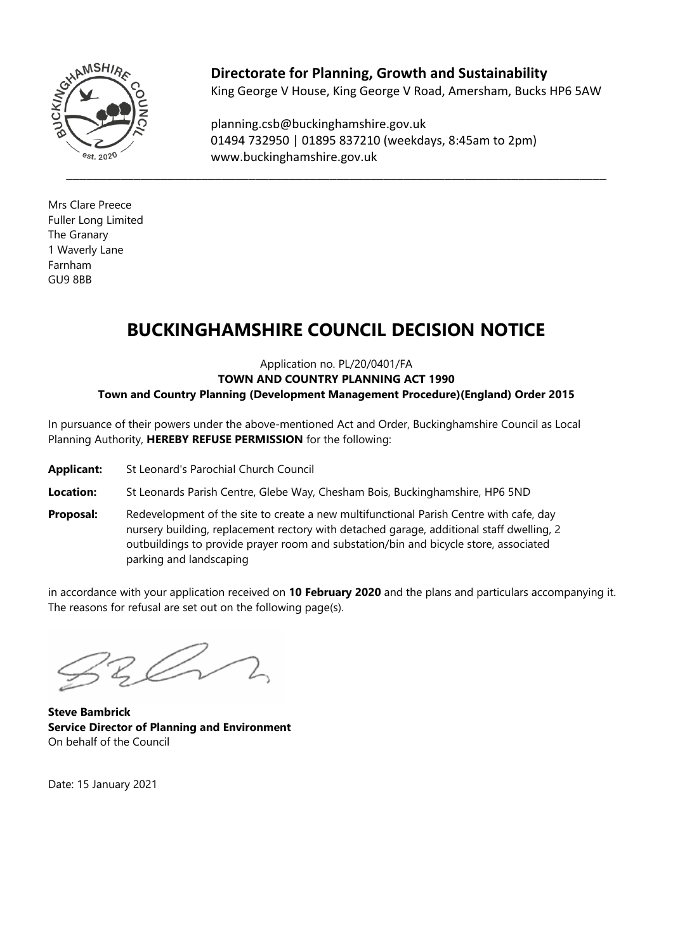

**Directorate for Planning, Growth and Sustainability** King George V House, King George V Road, Amersham, Bucks HP6 5AW

planning.csb@buckinghamshire.gov.uk 01494 732950 | 01895 837210 (weekdays, 8:45am to 2pm) www.buckinghamshire.gov.uk

Mrs Clare Preece Fuller Long Limited The Granary 1 Waverly Lane Farnham GU9 8BB

# **BUCKINGHAMSHIRE COUNCIL DECISION NOTICE**

Application no. PL/20/0401/FA **TOWN AND COUNTRY PLANNING ACT 1990 Town and Country Planning (Development Management Procedure)(England) Order 2015**

In pursuance of their powers under the above-mentioned Act and Order, Buckinghamshire Council as Local Planning Authority, **HEREBY REFUSE PERMISSION** for the following:

- **Applicant:** St Leonard's Parochial Church Council
- **Location:** St Leonards Parish Centre, Glebe Way, Chesham Bois, Buckinghamshire, HP6 5ND
- **Proposal:** Redevelopment of the site to create a new multifunctional Parish Centre with cafe, day nursery building, replacement rectory with detached garage, additional staff dwelling, 2 outbuildings to provide prayer room and substation/bin and bicycle store, associated parking and landscaping

in accordance with your application received on **10 February 2020** and the plans and particulars accompanying it. The reasons for refusal are set out on the following page(s).

**Steve Bambrick Service Director of Planning and Environment** On behalf of the Council

Date: 15 January 2021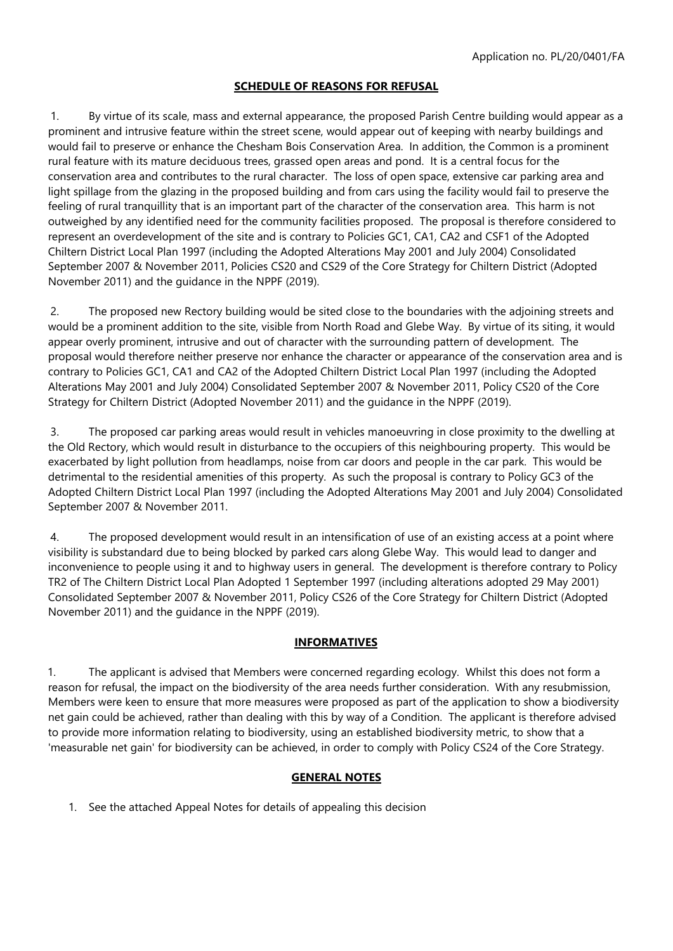# **SCHEDULE OF REASONS FOR REFUSAL**

1. By virtue of its scale, mass and external appearance, the proposed Parish Centre building would appear as a prominent and intrusive feature within the street scene, would appear out of keeping with nearby buildings and would fail to preserve or enhance the Chesham Bois Conservation Area. In addition, the Common is a prominent rural feature with its mature deciduous trees, grassed open areas and pond. It is a central focus for the conservation area and contributes to the rural character. The loss of open space, extensive car parking area and light spillage from the glazing in the proposed building and from cars using the facility would fail to preserve the feeling of rural tranquillity that is an important part of the character of the conservation area. This harm is not outweighed by any identified need for the community facilities proposed. The proposal is therefore considered to represent an overdevelopment of the site and is contrary to Policies GC1, CA1, CA2 and CSF1 of the Adopted Chiltern District Local Plan 1997 (including the Adopted Alterations May 2001 and July 2004) Consolidated September 2007 & November 2011, Policies CS20 and CS29 of the Core Strategy for Chiltern District (Adopted November 2011) and the guidance in the NPPF (2019).

2. The proposed new Rectory building would be sited close to the boundaries with the adjoining streets and would be a prominent addition to the site, visible from North Road and Glebe Way. By virtue of its siting, it would appear overly prominent, intrusive and out of character with the surrounding pattern of development. The proposal would therefore neither preserve nor enhance the character or appearance of the conservation area and is contrary to Policies GC1, CA1 and CA2 of the Adopted Chiltern District Local Plan 1997 (including the Adopted Alterations May 2001 and July 2004) Consolidated September 2007 & November 2011, Policy CS20 of the Core Strategy for Chiltern District (Adopted November 2011) and the guidance in the NPPF (2019).

3. The proposed car parking areas would result in vehicles manoeuvring in close proximity to the dwelling at the Old Rectory, which would result in disturbance to the occupiers of this neighbouring property. This would be exacerbated by light pollution from headlamps, noise from car doors and people in the car park. This would be detrimental to the residential amenities of this property. As such the proposal is contrary to Policy GC3 of the Adopted Chiltern District Local Plan 1997 (including the Adopted Alterations May 2001 and July 2004) Consolidated September 2007 & November 2011.

4. The proposed development would result in an intensification of use of an existing access at a point where visibility is substandard due to being blocked by parked cars along Glebe Way. This would lead to danger and inconvenience to people using it and to highway users in general. The development is therefore contrary to Policy TR2 of The Chiltern District Local Plan Adopted 1 September 1997 (including alterations adopted 29 May 2001) Consolidated September 2007 & November 2011, Policy CS26 of the Core Strategy for Chiltern District (Adopted November 2011) and the guidance in the NPPF (2019).

# **INFORMATIVES**

1. The applicant is advised that Members were concerned regarding ecology. Whilst this does not form a reason for refusal, the impact on the biodiversity of the area needs further consideration. With any resubmission, Members were keen to ensure that more measures were proposed as part of the application to show a biodiversity net gain could be achieved, rather than dealing with this by way of a Condition. The applicant is therefore advised to provide more information relating to biodiversity, using an established biodiversity metric, to show that a 'measurable net gain' for biodiversity can be achieved, in order to comply with Policy CS24 of the Core Strategy.

# **GENERAL NOTES**

1. See the attached Appeal Notes for details of appealing this decision